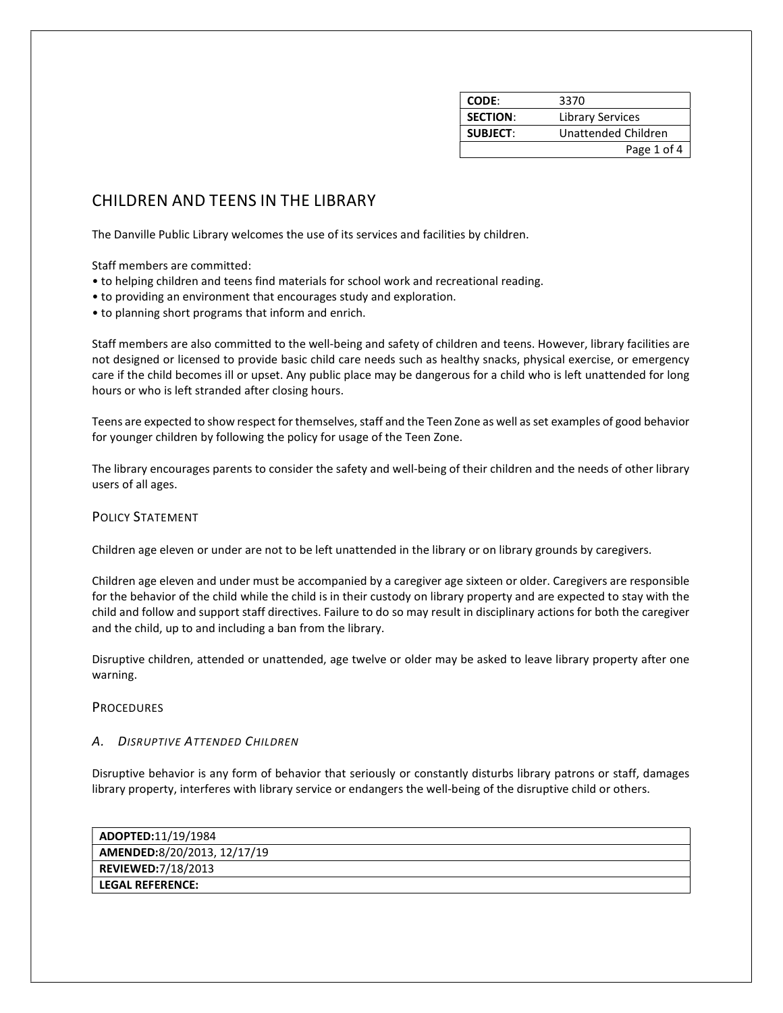| <b>CODE:</b>    | 3370                |
|-----------------|---------------------|
| <b>SECTION:</b> | Library Services    |
| <b>SUBJECT:</b> | Unattended Children |
|                 | Page 1 of 4         |

# CHILDREN AND TEENS IN THE LIBRARY

The Danville Public Library welcomes the use of its services and facilities by children.

Staff members are committed:

- to helping children and teens find materials for school work and recreational reading.
- to providing an environment that encourages study and exploration.
- to planning short programs that inform and enrich.

Staff members are also committed to the well-being and safety of children and teens. However, library facilities are not designed or licensed to provide basic child care needs such as healthy snacks, physical exercise, or emergency care if the child becomes ill or upset. Any public place may be dangerous for a child who is left unattended for long hours or who is left stranded after closing hours.

Teens are expected to show respect for themselves, staff and the Teen Zone as well as set examples of good behavior for younger children by following the policy for usage of the Teen Zone.

The library encourages parents to consider the safety and well-being of their children and the needs of other library users of all ages.

## POLICY STATEMENT

Children age eleven or under are not to be left unattended in the library or on library grounds by caregivers.

Children age eleven and under must be accompanied by a caregiver age sixteen or older. Caregivers are responsible for the behavior of the child while the child is in their custody on library property and are expected to stay with the child and follow and support staff directives. Failure to do so may result in disciplinary actions for both the caregiver and the child, up to and including a ban from the library.

Disruptive children, attended or unattended, age twelve or older may be asked to leave library property after one warning.

#### **PROCEDURES**

### A. DISRUPTIVE ATTENDED CHILDREN

Disruptive behavior is any form of behavior that seriously or constantly disturbs library patrons or staff, damages library property, interferes with library service or endangers the well-being of the disruptive child or others.

| $\vert$ ADOPTED:11/19/1984  |  |
|-----------------------------|--|
| AMENDED:8/20/2013, 12/17/19 |  |
| REVIEWED:7/18/2013          |  |
| l LEGAL REFERENCE: I        |  |
|                             |  |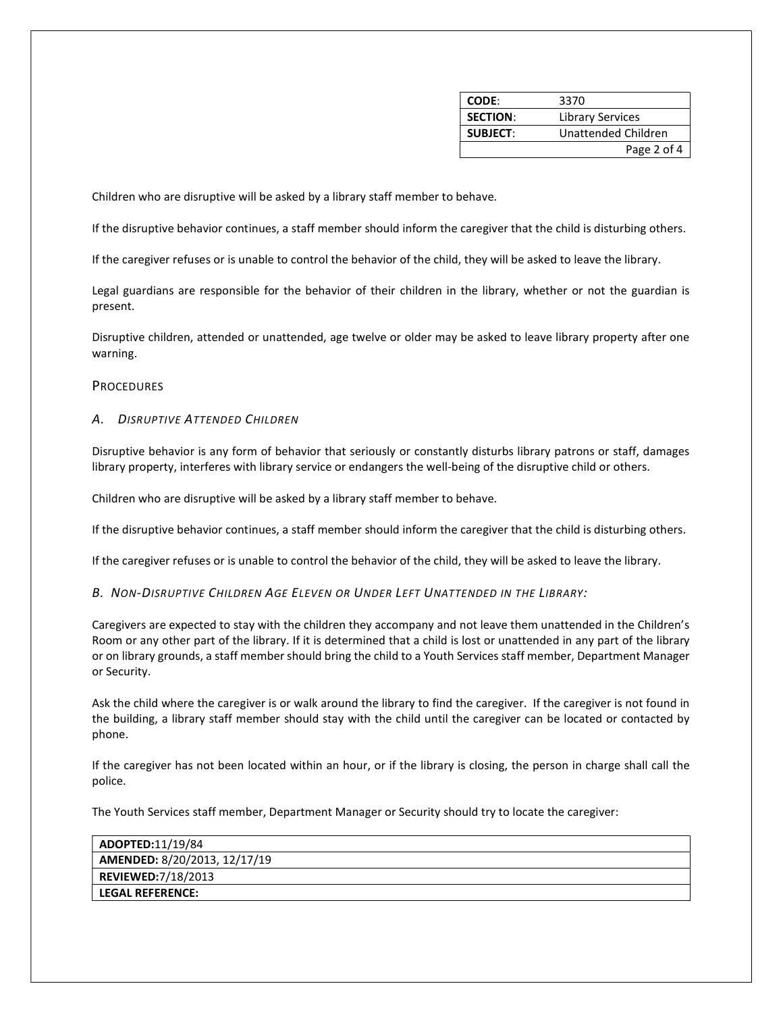| CODE:           | 3370                |
|-----------------|---------------------|
| <b>SECTION:</b> | Library Services    |
| <b>SUBJECT:</b> | Unattended Children |
|                 | Page 2 of 4         |

Children who are disruptive will be asked by a library staff member to behave.

If the disruptive behavior continues, a staff member should inform the caregiver that the child is disturbing others.

If the caregiver refuses or is unable to control the behavior of the child, they will be asked to leave the library.

Legal guardians are responsible for the behavior of their children in the library, whether or not the guardian is present.

Disruptive children, attended or unattended, age twelve or older may be asked to leave library property after one warning.

# **PROCEDURES**

#### A. DISRUPTIVE ATTENDED CHILDREN

Disruptive behavior is any form of behavior that seriously or constantly disturbs library patrons or staff, damages library property, interferes with library service or endangers the well-being of the disruptive child or others.

Children who are disruptive will be asked by a library staff member to behave.

If the disruptive behavior continues, a staff member should inform the caregiver that the child is disturbing others.

If the caregiver refuses or is unable to control the behavior of the child, they will be asked to leave the library.

B. NON-DISRUPTIVE CHILDREN AGE ELEVEN OR UNDER LEFT UNATTENDED IN THE LIBRARY:

Caregivers are expected to stay with the children they accompany and not leave them unattended in the Children's Room or any other part of the library. If it is determined that a child is lost or unattended in any part of the library or on library grounds, a staff member should bring the child to a Youth Services staff member, Department Manager or Security.

Ask the child where the caregiver is or walk around the library to find the caregiver. If the caregiver is not found in the building, a library staff member should stay with the child until the caregiver can be located or contacted by phone.

If the caregiver has not been located within an hour, or if the library is closing, the person in charge shall call the police.

The Youth Services staff member, Department Manager or Security should try to locate the caregiver:

| $\vert$ ADOPTED:11/19/84     |  |
|------------------------------|--|
| AMENDED: 8/20/2013, 12/17/19 |  |
| REVIEWED:7/18/2013           |  |
| l LEGAL REFERENCE:           |  |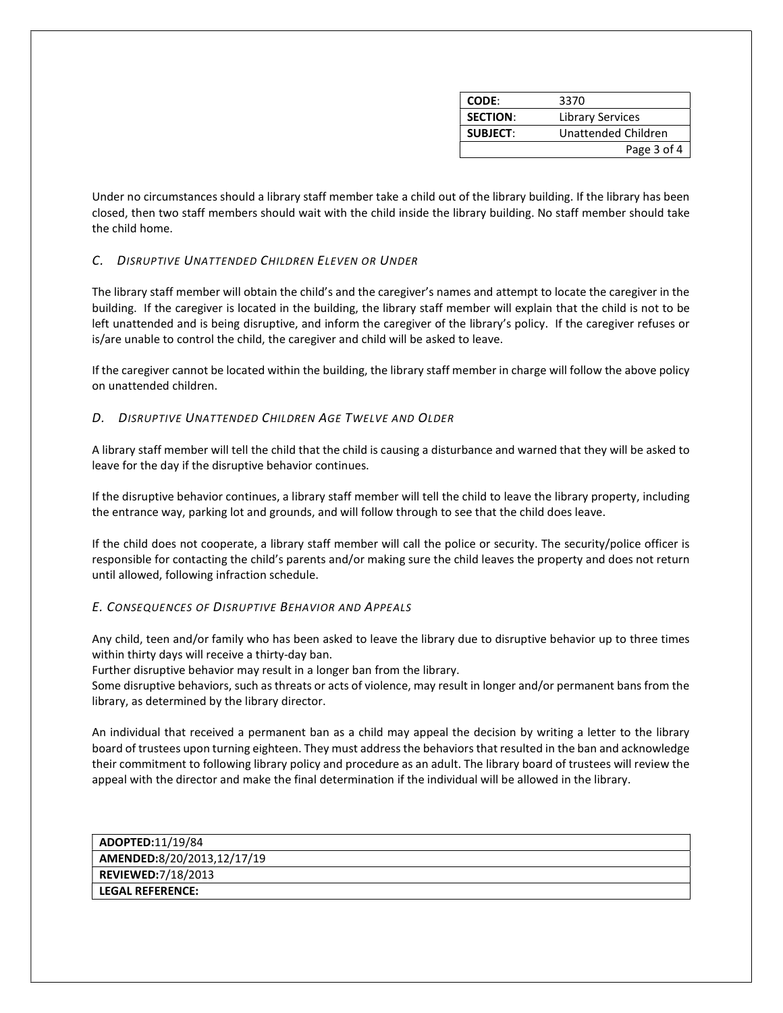| CODE:           | 3370                |
|-----------------|---------------------|
| <b>SECTION:</b> | Library Services    |
| <b>SUBJECT:</b> | Unattended Children |
|                 | Page 3 of 4         |

Under no circumstances should a library staff member take a child out of the library building. If the library has been closed, then two staff members should wait with the child inside the library building. No staff member should take the child home.

# C. DISRUPTIVE UNATTENDED CHILDREN ELEVEN OR UNDER

The library staff member will obtain the child's and the caregiver's names and attempt to locate the caregiver in the building. If the caregiver is located in the building, the library staff member will explain that the child is not to be left unattended and is being disruptive, and inform the caregiver of the library's policy. If the caregiver refuses or is/are unable to control the child, the caregiver and child will be asked to leave.

If the caregiver cannot be located within the building, the library staff member in charge will follow the above policy on unattended children.

## D. DISRUPTIVE UNATTENDED CHILDREN AGE TWELVE AND OLDER

A library staff member will tell the child that the child is causing a disturbance and warned that they will be asked to leave for the day if the disruptive behavior continues.

If the disruptive behavior continues, a library staff member will tell the child to leave the library property, including the entrance way, parking lot and grounds, and will follow through to see that the child does leave.

If the child does not cooperate, a library staff member will call the police or security. The security/police officer is responsible for contacting the child's parents and/or making sure the child leaves the property and does not return until allowed, following infraction schedule.

## E. CONSEQUENCES OF DISRUPTIVE BEHAVIOR AND APPEALS

Any child, teen and/or family who has been asked to leave the library due to disruptive behavior up to three times within thirty days will receive a thirty-day ban.

Further disruptive behavior may result in a longer ban from the library.

Some disruptive behaviors, such as threats or acts of violence, may result in longer and/or permanent bans from the library, as determined by the library director.

An individual that received a permanent ban as a child may appeal the decision by writing a letter to the library board of trustees upon turning eighteen. They must address the behaviors that resulted in the ban and acknowledge their commitment to following library policy and procedure as an adult. The library board of trustees will review the appeal with the director and make the final determination if the individual will be allowed in the library.

ADOPTED:11/19/84 AMENDED:8/20/2013,12/17/19 REVIEWED:7/18/2013 LEGAL REFERENCE: